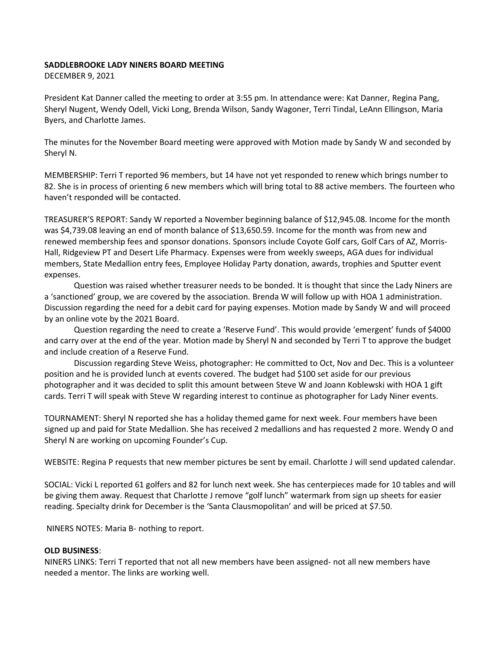## **SADDLEBROOKE LADY NINERS BOARD MEETING**

DECEMBER 9, 2021

President Kat Danner called the meeting to order at 3:55 pm. In attendance were: Kat Danner, Regina Pang, Sheryl Nugent, Wendy Odell, Vicki Long, Brenda Wilson, Sandy Wagoner, Terri Tindal, LeAnn Ellingson, Maria Byers, and Charlotte James.

The minutes for the November Board meeting were approved with Motion made by Sandy W and seconded by Sheryl N.

MEMBERSHIP: Terri T reported 96 members, but 14 have not yet responded to renew which brings number to 82. She is in process of orienting 6 new members which will bring total to 88 active members. The fourteen who haven't responded will be contacted.

TREASURER'S REPORT: Sandy W reported a November beginning balance of \$12,945.08. Income for the month was \$4,739.08 leaving an end of month balance of \$13,650.59. Income for the month was from new and renewed membership fees and sponsor donations. Sponsors include Coyote Golf cars, Golf Cars of AZ, Morris-Hall, Ridgeview PT and Desert Life Pharmacy. Expenses were from weekly sweeps, AGA dues for individual members, State Medallion entry fees, Employee Holiday Party donation, awards, trophies and Sputter event expenses.

Question was raised whether treasurer needs to be bonded. It is thought that since the Lady Niners are a 'sanctioned' group, we are covered by the association. Brenda W will follow up with HOA 1 administration. Discussion regarding the need for a debit card for paying expenses. Motion made by Sandy W and will proceed by an online vote by the 2021 Board.

Question regarding the need to create a 'Reserve Fund'. This would provide 'emergent' funds of \$4000 and carry over at the end of the year. Motion made by Sheryl N and seconded by Terri T to approve the budget and include creation of a Reserve Fund.

Discussion regarding Steve Weiss, photographer: He committed to Oct, Nov and Dec. This is a volunteer position and he is provided lunch at events covered. The budget had \$100 set aside for our previous photographer and it was decided to split this amount between Steve W and Joann Koblewski with HOA 1 gift cards. Terri T will speak with Steve W regarding interest to continue as photographer for Lady Niner events.

TOURNAMENT: Sheryl N reported she has a holiday themed game for next week. Four members have been signed up and paid for State Medallion. She has received 2 medallions and has requested 2 more. Wendy O and Sheryl N are working on upcoming Founder's Cup.

WEBSITE: Regina P requests that new member pictures be sent by email. Charlotte J will send updated calendar.

SOCIAL: Vicki L reported 61 golfers and 82 for lunch next week. She has centerpieces made for 10 tables and will be giving them away. Request that Charlotte J remove "golf lunch" watermark from sign up sheets for easier reading. Specialty drink for December is the 'Santa Clausmopolitan' and will be priced at \$7.50.

NINERS NOTES: Maria B- nothing to report.

## **OLD BUSINESS**:

NINERS LINKS: Terri T reported that not all new members have been assigned- not all new members have needed a mentor. The links are working well.